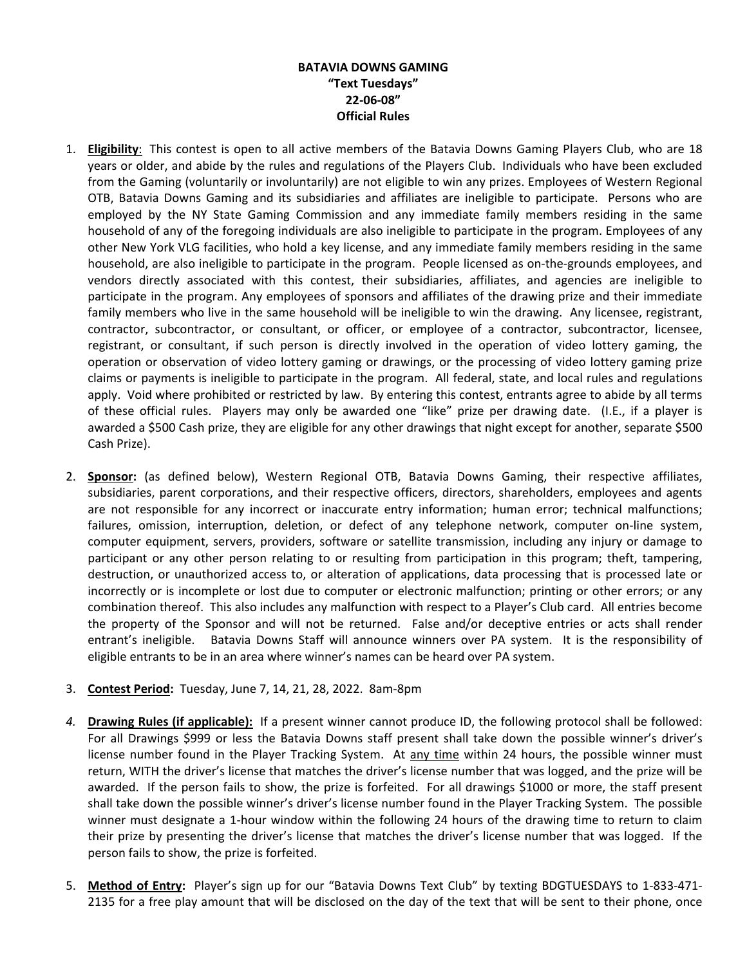## **BATAVIA DOWNS GAMING "Text Tuesdays" 22-06-08" Official Rules**

- 1. **Eligibility**: This contest is open to all active members of the Batavia Downs Gaming Players Club, who are 18 years or older, and abide by the rules and regulations of the Players Club. Individuals who have been excluded from the Gaming (voluntarily or involuntarily) are not eligible to win any prizes. Employees of Western Regional OTB, Batavia Downs Gaming and its subsidiaries and affiliates are ineligible to participate. Persons who are employed by the NY State Gaming Commission and any immediate family members residing in the same household of any of the foregoing individuals are also ineligible to participate in the program. Employees of any other New York VLG facilities, who hold a key license, and any immediate family members residing in the same household, are also ineligible to participate in the program. People licensed as on-the-grounds employees, and vendors directly associated with this contest, their subsidiaries, affiliates, and agencies are ineligible to participate in the program. Any employees of sponsors and affiliates of the drawing prize and their immediate family members who live in the same household will be ineligible to win the drawing. Any licensee, registrant, contractor, subcontractor, or consultant, or officer, or employee of a contractor, subcontractor, licensee, registrant, or consultant, if such person is directly involved in the operation of video lottery gaming, the operation or observation of video lottery gaming or drawings, or the processing of video lottery gaming prize claims or payments is ineligible to participate in the program. All federal, state, and local rules and regulations apply. Void where prohibited or restricted by law. By entering this contest, entrants agree to abide by all terms of these official rules. Players may only be awarded one "like" prize per drawing date. (I.E., if a player is awarded a \$500 Cash prize, they are eligible for any other drawings that night except for another, separate \$500 Cash Prize).
- 2. **Sponsor:** (as defined below), Western Regional OTB, Batavia Downs Gaming, their respective affiliates, subsidiaries, parent corporations, and their respective officers, directors, shareholders, employees and agents are not responsible for any incorrect or inaccurate entry information; human error; technical malfunctions; failures, omission, interruption, deletion, or defect of any telephone network, computer on-line system, computer equipment, servers, providers, software or satellite transmission, including any injury or damage to participant or any other person relating to or resulting from participation in this program; theft, tampering, destruction, or unauthorized access to, or alteration of applications, data processing that is processed late or incorrectly or is incomplete or lost due to computer or electronic malfunction; printing or other errors; or any combination thereof. This also includes any malfunction with respect to a Player's Club card. All entries become the property of the Sponsor and will not be returned. False and/or deceptive entries or acts shall render entrant's ineligible. Batavia Downs Staff will announce winners over PA system. It is the responsibility of eligible entrants to be in an area where winner's names can be heard over PA system.
- 3. **Contest Period:** Tuesday, June 7, 14, 21, 28, 2022. 8am-8pm
- *4.* **Drawing Rules (if applicable):** If a present winner cannot produce ID, the following protocol shall be followed: For all Drawings \$999 or less the Batavia Downs staff present shall take down the possible winner's driver's license number found in the Player Tracking System. At any time within 24 hours, the possible winner must return, WITH the driver's license that matches the driver's license number that was logged, and the prize will be awarded. If the person fails to show, the prize is forfeited. For all drawings \$1000 or more, the staff present shall take down the possible winner's driver's license number found in the Player Tracking System. The possible winner must designate a 1-hour window within the following 24 hours of the drawing time to return to claim their prize by presenting the driver's license that matches the driver's license number that was logged. If the person fails to show, the prize is forfeited.
- 5. **Method of Entry:** Player's sign up for our "Batavia Downs Text Club" by texting BDGTUESDAYS to 1-833-471- 2135 for a free play amount that will be disclosed on the day of the text that will be sent to their phone, once